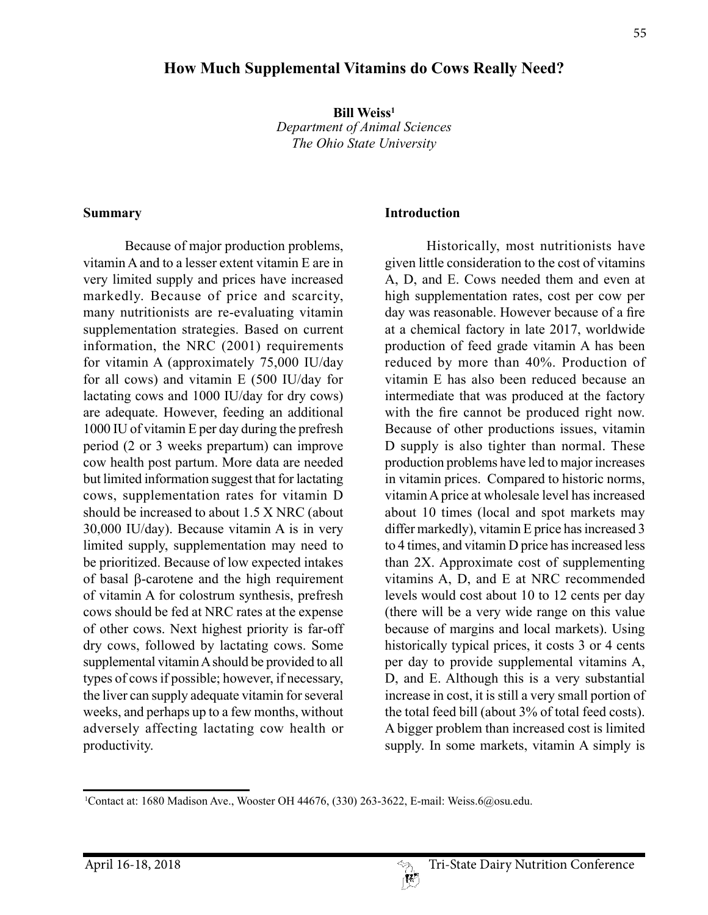#### **Bill Weiss<sup>1</sup>**

*Department of Animal Sciences*

**How Much Supplemental Vitamins do Cows Really Need?**

*The Ohio State University*

#### **Summary**

Because of major production problems, vitamin A and to a lesser extent vitamin E are in very limited supply and prices have increased markedly. Because of price and scarcity, many nutritionists are re-evaluating vitamin supplementation strategies. Based on current information, the NRC (2001) requirements for vitamin A (approximately 75,000 IU/day for all cows) and vitamin E (500 IU/day for lactating cows and 1000 IU/day for dry cows) are adequate. However, feeding an additional 1000 IU of vitamin E per day during the prefresh period (2 or 3 weeks prepartum) can improve cow health post partum. More data are needed but limited information suggest that for lactating cows, supplementation rates for vitamin D should be increased to about 1.5 X NRC (about 30,000 IU/day). Because vitamin A is in very limited supply, supplementation may need to be prioritized. Because of low expected intakes of basal b-carotene and the high requirement of vitamin A for colostrum synthesis, prefresh cows should be fed at NRC rates at the expense of other cows. Next highest priority is far-off dry cows, followed by lactating cows. Some supplemental vitamin A should be provided to all types of cows if possible; however, if necessary, the liver can supply adequate vitamin for several weeks, and perhaps up to a few months, without adversely affecting lactating cow health or productivity.

#### **Introduction**

Historically, most nutritionists have given little consideration to the cost of vitamins A, D, and E. Cows needed them and even at high supplementation rates, cost per cow per day was reasonable. However because of a fire at a chemical factory in late 2017, worldwide production of feed grade vitamin A has been reduced by more than 40%. Production of vitamin E has also been reduced because an intermediate that was produced at the factory with the fire cannot be produced right now. Because of other productions issues, vitamin D supply is also tighter than normal. These production problems have led to major increases in vitamin prices. Compared to historic norms, vitamin A price at wholesale level has increased about 10 times (local and spot markets may differ markedly), vitamin E price has increased 3 to 4 times, and vitamin D price has increased less than 2X. Approximate cost of supplementing vitamins A, D, and E at NRC recommended levels would cost about 10 to 12 cents per day (there will be a very wide range on this value because of margins and local markets). Using historically typical prices, it costs 3 or 4 cents per day to provide supplemental vitamins A, D, and E. Although this is a very substantial increase in cost, it is still a very small portion of the total feed bill (about 3% of total feed costs). A bigger problem than increased cost is limited supply. In some markets, vitamin A simply is

<sup>1</sup> Contact at: 1680 Madison Ave., Wooster OH 44676, (330) 263-3622, E-mail: Weiss.6@osu.edu.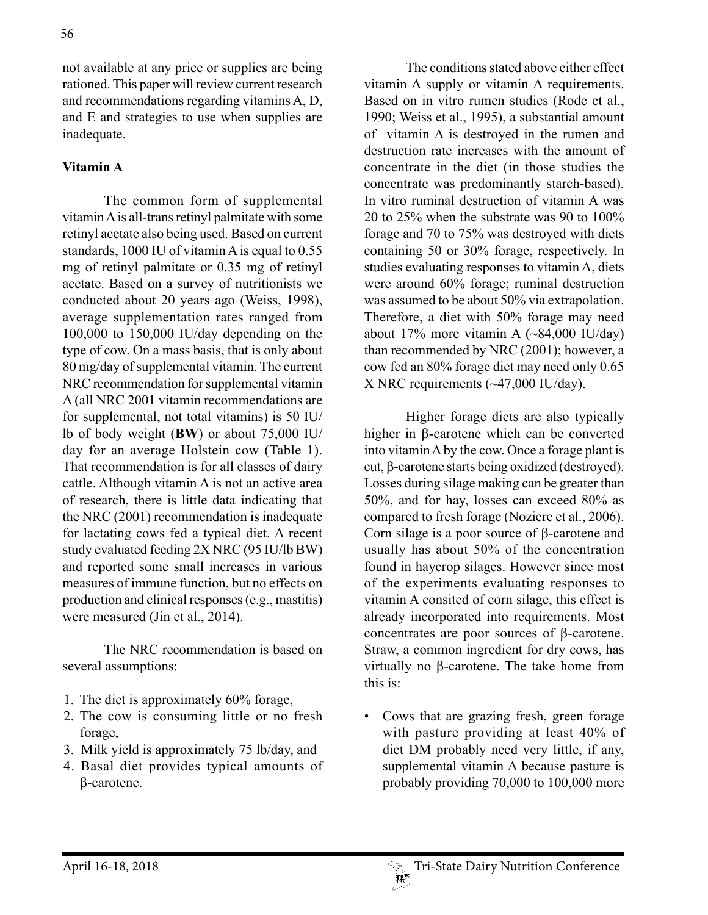not available at any price or supplies are being rationed. This paper will review current research and recommendations regarding vitamins A, D, and E and strategies to use when supplies are inadequate.

# **Vitamin A**

The common form of supplemental vitamin A is all-trans retinyl palmitate with some retinyl acetate also being used. Based on current standards, 1000 IU of vitamin A is equal to 0.55 mg of retinyl palmitate or 0.35 mg of retinyl acetate. Based on a survey of nutritionists we conducted about 20 years ago (Weiss, 1998), average supplementation rates ranged from 100,000 to 150,000 IU/day depending on the type of cow. On a mass basis, that is only about 80 mg/day of supplemental vitamin. The current NRC recommendation for supplemental vitamin A (all NRC 2001 vitamin recommendations are for supplemental, not total vitamins) is 50 IU/ lb of body weight (**BW**) or about 75,000 IU/ day for an average Holstein cow (Table 1). That recommendation is for all classes of dairy cattle. Although vitamin A is not an active area of research, there is little data indicating that the NRC (2001) recommendation is inadequate for lactating cows fed a typical diet. A recent study evaluated feeding 2X NRC (95 IU/lb BW) and reported some small increases in various measures of immune function, but no effects on production and clinical responses (e.g., mastitis) were measured (Jin et al., 2014).

The NRC recommendation is based on several assumptions:

- 1. The diet is approximately 60% forage,
- 2. The cow is consuming little or no fresh forage,
- 3. Milk yield is approximately 75 lb/day, and
- 4. Basal diet provides typical amounts of b-carotene.

The conditions stated above either effect vitamin A supply or vitamin A requirements. Based on in vitro rumen studies (Rode et al., 1990; Weiss et al., 1995), a substantial amount of vitamin A is destroyed in the rumen and destruction rate increases with the amount of concentrate in the diet (in those studies the concentrate was predominantly starch-based). In vitro ruminal destruction of vitamin A was 20 to 25% when the substrate was 90 to 100% forage and 70 to 75% was destroyed with diets containing 50 or 30% forage, respectively. In studies evaluating responses to vitamin A, diets were around 60% forage; ruminal destruction was assumed to be about 50% via extrapolation. Therefore, a diet with 50% forage may need about 17% more vitamin A  $(\sim 84,000 \text{ IU/day})$ than recommended by NRC (2001); however, a cow fed an 80% forage diet may need only 0.65 X NRC requirements (~47,000 IU/day).

Higher forage diets are also typically higher in  $\beta$ -carotene which can be converted into vitamin A by the cow. Once a forage plant is cut, b-carotene starts being oxidized (destroyed). Losses during silage making can be greater than 50%, and for hay, losses can exceed 80% as compared to fresh forage (Noziere et al., 2006). Corn silage is a poor source of  $\beta$ -carotene and usually has about 50% of the concentration found in haycrop silages. However since most of the experiments evaluating responses to vitamin A consited of corn silage, this effect is already incorporated into requirements. Most concentrates are poor sources of b-carotene. Straw, a common ingredient for dry cows, has virtually no  $\beta$ -carotene. The take home from this is:

• Cows that are grazing fresh, green forage with pasture providing at least 40% of diet DM probably need very little, if any, supplemental vitamin A because pasture is probably providing 70,000 to 100,000 more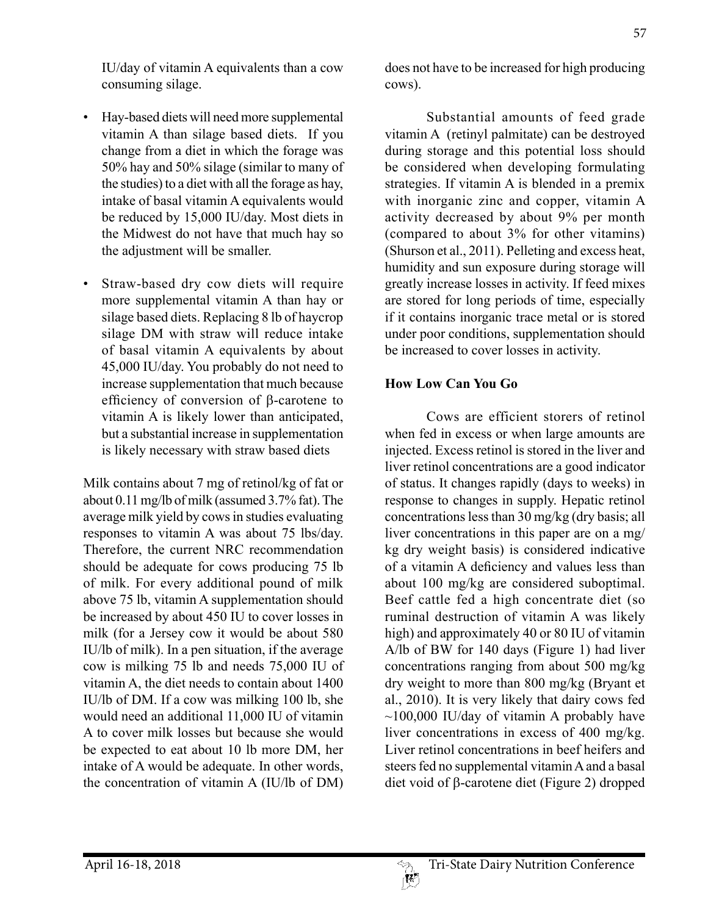IU/day of vitamin A equivalents than a cow consuming silage.

- Hay-based diets will need more supplemental vitamin A than silage based diets. If you change from a diet in which the forage was 50% hay and 50% silage (similar to many of the studies) to a diet with all the forage as hay, intake of basal vitamin A equivalents would be reduced by 15,000 IU/day. Most diets in the Midwest do not have that much hay so the adjustment will be smaller.
- Straw-based dry cow diets will require more supplemental vitamin A than hay or silage based diets. Replacing 8 lb of haycrop silage DM with straw will reduce intake of basal vitamin A equivalents by about 45,000 IU/day. You probably do not need to increase supplementation that much because efficiency of conversion of  $\beta$ -carotene to vitamin A is likely lower than anticipated, but a substantial increase in supplementation is likely necessary with straw based diets

Milk contains about 7 mg of retinol/kg of fat or about 0.11 mg/lb of milk (assumed 3.7% fat). The average milk yield by cows in studies evaluating responses to vitamin A was about 75 lbs/day. Therefore, the current NRC recommendation should be adequate for cows producing 75 lb of milk. For every additional pound of milk above 75 lb, vitamin A supplementation should be increased by about 450 IU to cover losses in milk (for a Jersey cow it would be about 580 IU/lb of milk). In a pen situation, if the average cow is milking 75 lb and needs 75,000 IU of vitamin A, the diet needs to contain about 1400 IU/lb of DM. If a cow was milking 100 lb, she would need an additional 11,000 IU of vitamin A to cover milk losses but because she would be expected to eat about 10 lb more DM, her intake of A would be adequate. In other words, the concentration of vitamin A (IU/lb of DM)

does not have to be increased for high producing cows).

Substantial amounts of feed grade vitamin A (retinyl palmitate) can be destroyed during storage and this potential loss should be considered when developing formulating strategies. If vitamin A is blended in a premix with inorganic zinc and copper, vitamin A activity decreased by about 9% per month (compared to about 3% for other vitamins) (Shurson et al., 2011). Pelleting and excess heat, humidity and sun exposure during storage will greatly increase losses in activity. If feed mixes are stored for long periods of time, especially if it contains inorganic trace metal or is stored under poor conditions, supplementation should be increased to cover losses in activity.

# **How Low Can You Go**

Cows are efficient storers of retinol when fed in excess or when large amounts are injected. Excess retinol is stored in the liver and liver retinol concentrations are a good indicator of status. It changes rapidly (days to weeks) in response to changes in supply. Hepatic retinol concentrations less than 30 mg/kg (dry basis; all liver concentrations in this paper are on a mg/ kg dry weight basis) is considered indicative of a vitamin A deficiency and values less than about 100 mg/kg are considered suboptimal. Beef cattle fed a high concentrate diet (so ruminal destruction of vitamin A was likely high) and approximately 40 or 80 IU of vitamin A/lb of BW for 140 days (Figure 1) had liver concentrations ranging from about 500 mg/kg dry weight to more than 800 mg/kg (Bryant et al., 2010). It is very likely that dairy cows fed  $\sim$ 100,000 IU/day of vitamin A probably have liver concentrations in excess of 400 mg/kg. Liver retinol concentrations in beef heifers and steers fed no supplemental vitamin A and a basal diet void of  $\beta$ -carotene diet (Figure 2) dropped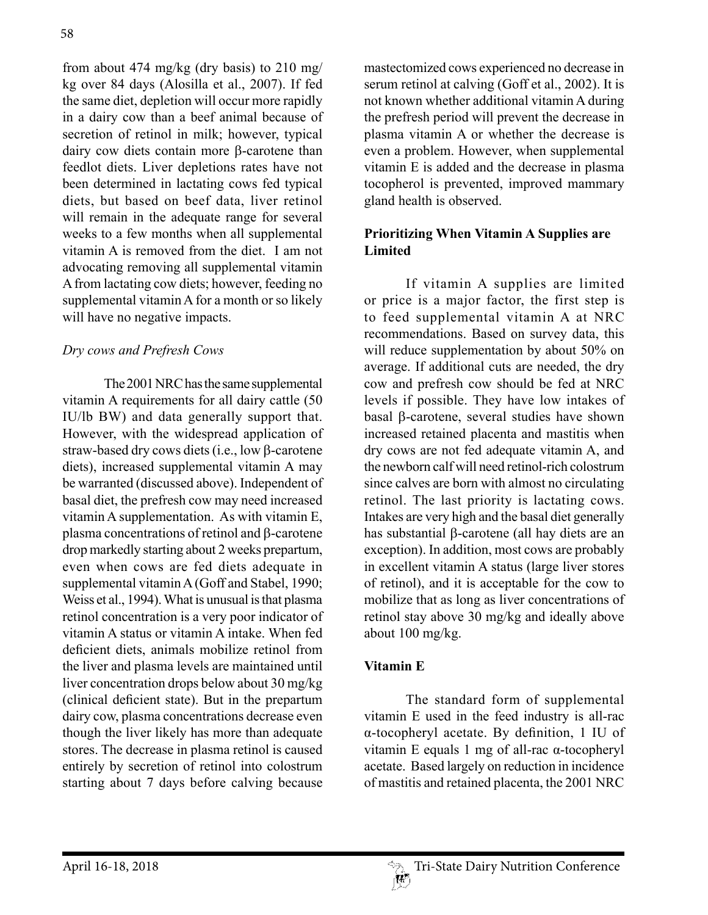from about 474 mg/kg (dry basis) to 210 mg/ kg over 84 days (Alosilla et al., 2007). If fed the same diet, depletion will occur more rapidly in a dairy cow than a beef animal because of secretion of retinol in milk; however, typical dairy cow diets contain more  $\beta$ -carotene than feedlot diets. Liver depletions rates have not been determined in lactating cows fed typical diets, but based on beef data, liver retinol will remain in the adequate range for several weeks to a few months when all supplemental vitamin A is removed from the diet. I am not advocating removing all supplemental vitamin A from lactating cow diets; however, feeding no supplemental vitamin A for a month or so likely will have no negative impacts.

# *Dry cows and Prefresh Cows*

The 2001 NRC has the same supplemental vitamin A requirements for all dairy cattle (50 IU/lb BW) and data generally support that. However, with the widespread application of straw-based dry cows diets (i.e., low  $\beta$ -carotene diets), increased supplemental vitamin A may be warranted (discussed above). Independent of basal diet, the prefresh cow may need increased vitamin A supplementation. As with vitamin E, plasma concentrations of retinol and  $\beta$ -carotene drop markedly starting about 2 weeks prepartum, even when cows are fed diets adequate in supplemental vitamin A (Goff and Stabel, 1990; Weiss et al., 1994). What is unusual is that plasma retinol concentration is a very poor indicator of vitamin A status or vitamin A intake. When fed deficient diets, animals mobilize retinol from the liver and plasma levels are maintained until liver concentration drops below about 30 mg/kg (clinical deficient state). But in the prepartum dairy cow, plasma concentrations decrease even though the liver likely has more than adequate stores. The decrease in plasma retinol is caused entirely by secretion of retinol into colostrum starting about 7 days before calving because

mastectomized cows experienced no decrease in serum retinol at calving (Goff et al., 2002). It is not known whether additional vitamin A during the prefresh period will prevent the decrease in plasma vitamin A or whether the decrease is even a problem. However, when supplemental vitamin E is added and the decrease in plasma tocopherol is prevented, improved mammary gland health is observed.

# **Prioritizing When Vitamin A Supplies are Limited**

If vitamin A supplies are limited or price is a major factor, the first step is to feed supplemental vitamin A at NRC recommendations. Based on survey data, this will reduce supplementation by about 50% on average. If additional cuts are needed, the dry cow and prefresh cow should be fed at NRC levels if possible. They have low intakes of basal b-carotene, several studies have shown increased retained placenta and mastitis when dry cows are not fed adequate vitamin A, and the newborn calf will need retinol-rich colostrum since calves are born with almost no circulating retinol. The last priority is lactating cows. Intakes are very high and the basal diet generally has substantial  $\beta$ -carotene (all hay diets are an exception). In addition, most cows are probably in excellent vitamin A status (large liver stores of retinol), and it is acceptable for the cow to mobilize that as long as liver concentrations of retinol stay above 30 mg/kg and ideally above about 100 mg/kg.

#### **Vitamin E**

The standard form of supplemental vitamin E used in the feed industry is all-rac α-tocopheryl acetate. By definition, 1 IU of vitamin E equals 1 mg of all-rac α-tocopheryl acetate. Based largely on reduction in incidence of mastitis and retained placenta, the 2001 NRC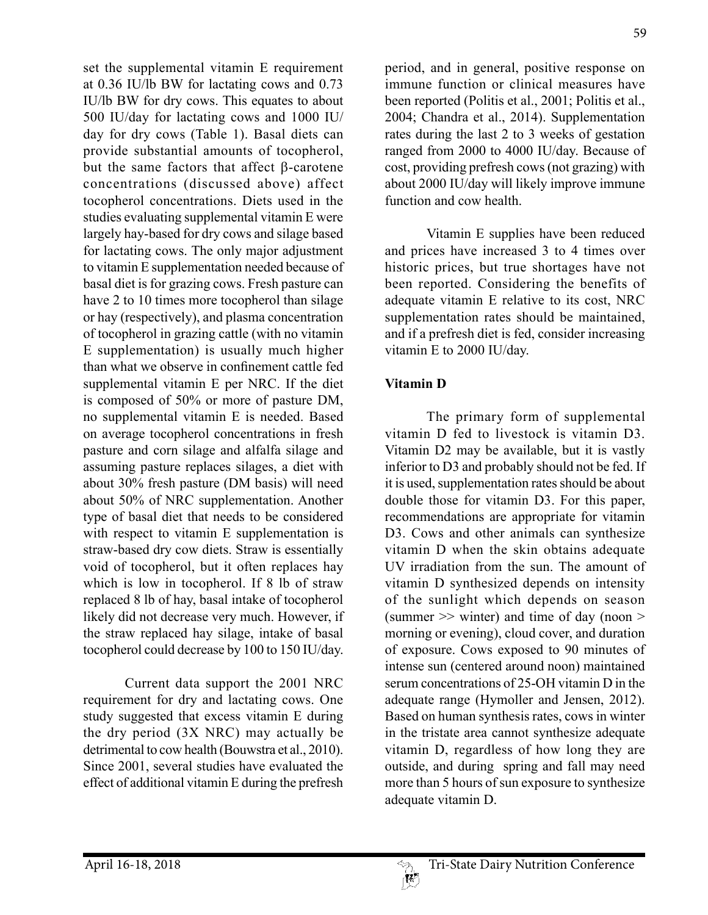set the supplemental vitamin E requirement at 0.36 IU/lb BW for lactating cows and 0.73 IU/lb BW for dry cows. This equates to about 500 IU/day for lactating cows and 1000 IU/ day for dry cows (Table 1). Basal diets can provide substantial amounts of tocopherol, but the same factors that affect B-carotene concentrations (discussed above) affect tocopherol concentrations. Diets used in the studies evaluating supplemental vitamin E were largely hay-based for dry cows and silage based for lactating cows. The only major adjustment to vitamin E supplementation needed because of basal diet is for grazing cows. Fresh pasture can have 2 to 10 times more tocopherol than silage or hay (respectively), and plasma concentration of tocopherol in grazing cattle (with no vitamin E supplementation) is usually much higher than what we observe in confinement cattle fed supplemental vitamin E per NRC. If the diet is composed of 50% or more of pasture DM, no supplemental vitamin E is needed. Based on average tocopherol concentrations in fresh pasture and corn silage and alfalfa silage and assuming pasture replaces silages, a diet with about 30% fresh pasture (DM basis) will need about 50% of NRC supplementation. Another type of basal diet that needs to be considered with respect to vitamin E supplementation is straw-based dry cow diets. Straw is essentially void of tocopherol, but it often replaces hay which is low in to copherol. If 8 lb of straw replaced 8 lb of hay, basal intake of tocopherol likely did not decrease very much. However, if the straw replaced hay silage, intake of basal tocopherol could decrease by 100 to 150 IU/day.

Current data support the 2001 NRC requirement for dry and lactating cows. One study suggested that excess vitamin E during the dry period (3X NRC) may actually be detrimental to cow health (Bouwstra et al., 2010). Since 2001, several studies have evaluated the effect of additional vitamin E during the prefresh

period, and in general, positive response on immune function or clinical measures have been reported (Politis et al., 2001; Politis et al., 2004; Chandra et al., 2014). Supplementation rates during the last 2 to 3 weeks of gestation ranged from 2000 to 4000 IU/day. Because of cost, providing prefresh cows (not grazing) with about 2000 IU/day will likely improve immune function and cow health.

Vitamin E supplies have been reduced and prices have increased 3 to 4 times over historic prices, but true shortages have not been reported. Considering the benefits of adequate vitamin E relative to its cost, NRC supplementation rates should be maintained, and if a prefresh diet is fed, consider increasing vitamin E to 2000 IU/day.

# **Vitamin D**

The primary form of supplemental vitamin D fed to livestock is vitamin D3. Vitamin D2 may be available, but it is vastly inferior to D3 and probably should not be fed. If it is used, supplementation rates should be about double those for vitamin D3. For this paper, recommendations are appropriate for vitamin D3. Cows and other animals can synthesize vitamin D when the skin obtains adequate UV irradiation from the sun. The amount of vitamin D synthesized depends on intensity of the sunlight which depends on season (summer  $\gg$  winter) and time of day (noon  $\gt$ morning or evening), cloud cover, and duration of exposure. Cows exposed to 90 minutes of intense sun (centered around noon) maintained serum concentrations of 25-OH vitamin D in the adequate range (Hymoller and Jensen, 2012). Based on human synthesis rates, cows in winter in the tristate area cannot synthesize adequate vitamin D, regardless of how long they are outside, and during spring and fall may need more than 5 hours of sun exposure to synthesize adequate vitamin D.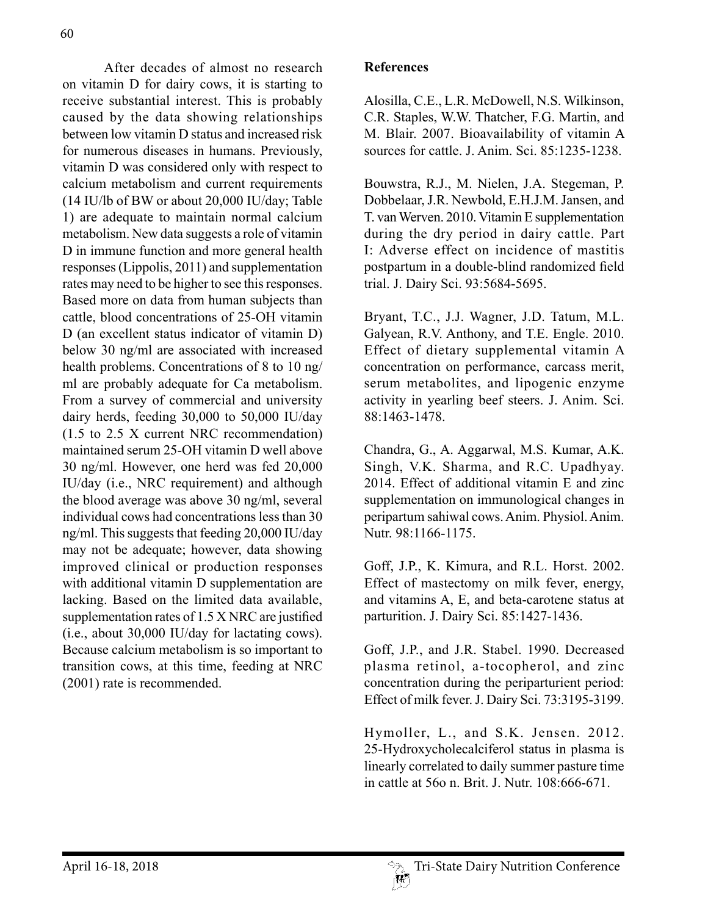After decades of almost no research on vitamin D for dairy cows, it is starting to receive substantial interest. This is probably caused by the data showing relationships between low vitamin D status and increased risk for numerous diseases in humans. Previously, vitamin D was considered only with respect to calcium metabolism and current requirements (14 IU/lb of BW or about 20,000 IU/day; Table 1) are adequate to maintain normal calcium metabolism. New data suggests a role of vitamin D in immune function and more general health responses (Lippolis, 2011) and supplementation rates may need to be higher to see this responses. Based more on data from human subjects than cattle, blood concentrations of 25-OH vitamin D (an excellent status indicator of vitamin D) below 30 ng/ml are associated with increased health problems. Concentrations of 8 to 10 ng/ ml are probably adequate for Ca metabolism. From a survey of commercial and university dairy herds, feeding 30,000 to 50,000 IU/day (1.5 to 2.5 X current NRC recommendation) maintained serum 25-OH vitamin D well above 30 ng/ml. However, one herd was fed 20,000 IU/day (i.e., NRC requirement) and although the blood average was above 30 ng/ml, several individual cows had concentrations less than 30 ng/ml. This suggests that feeding 20,000 IU/day may not be adequate; however, data showing improved clinical or production responses with additional vitamin D supplementation are lacking. Based on the limited data available, supplementation rates of 1.5 X NRC are justified (i.e., about 30,000 IU/day for lactating cows). Because calcium metabolism is so important to transition cows, at this time, feeding at NRC (2001) rate is recommended.

#### **References**

Alosilla, C.E., L.R. McDowell, N.S. Wilkinson, C.R. Staples, W.W. Thatcher, F.G. Martin, and M. Blair. 2007. Bioavailability of vitamin A sources for cattle. J. Anim. Sci. 85:1235-1238.

Bouwstra, R.J., M. Nielen, J.A. Stegeman, P. Dobbelaar, J.R. Newbold, E.H.J.M. Jansen, and T. van Werven. 2010. Vitamin E supplementation during the dry period in dairy cattle. Part I: Adverse effect on incidence of mastitis postpartum in a double-blind randomized field trial. J. Dairy Sci. 93:5684-5695.

Bryant, T.C., J.J. Wagner, J.D. Tatum, M.L. Galyean, R.V. Anthony, and T.E. Engle. 2010. Effect of dietary supplemental vitamin A concentration on performance, carcass merit, serum metabolites, and lipogenic enzyme activity in yearling beef steers. J. Anim. Sci. 88:1463-1478.

Chandra, G., A. Aggarwal, M.S. Kumar, A.K. Singh, V.K. Sharma, and R.C. Upadhyay. 2014. Effect of additional vitamin E and zinc supplementation on immunological changes in peripartum sahiwal cows. Anim. Physiol. Anim. Nutr. 98:1166-1175.

Goff, J.P., K. Kimura, and R.L. Horst. 2002. Effect of mastectomy on milk fever, energy, and vitamins A, E, and beta-carotene status at parturition. J. Dairy Sci. 85:1427-1436.

Goff, J.P., and J.R. Stabel. 1990. Decreased plasma retinol, a-tocopherol, and zinc concentration during the periparturient period: Effect of milk fever. J. Dairy Sci. 73:3195-3199.

Hymoller, L., and S.K. Jensen. 2012. 25-Hydroxycholecalciferol status in plasma is linearly correlated to daily summer pasture time in cattle at 56o n. Brit. J. Nutr. 108:666-671.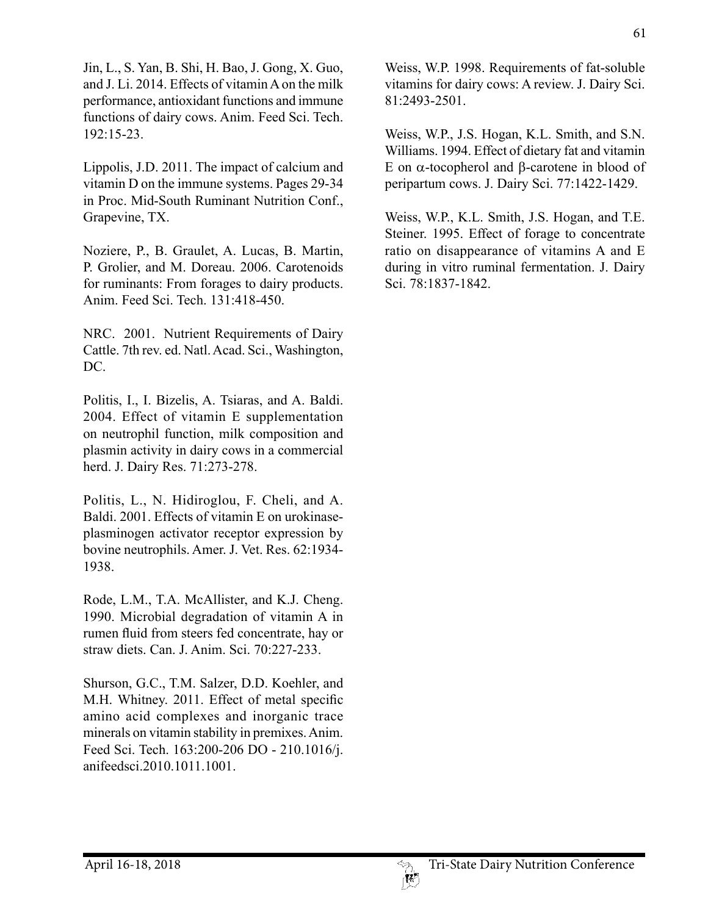Jin, L., S. Yan, B. Shi, H. Bao, J. Gong, X. Guo, and J. Li. 2014. Effects of vitamin A on the milk performance, antioxidant functions and immune functions of dairy cows. Anim. Feed Sci. Tech. 192:15-23.

Lippolis, J.D. 2011. The impact of calcium and vitamin D on the immune systems. Pages 29-34 in Proc. Mid-South Ruminant Nutrition Conf., Grapevine, TX.

Noziere, P., B. Graulet, A. Lucas, B. Martin, P. Grolier, and M. Doreau. 2006. Carotenoids for ruminants: From forages to dairy products. Anim. Feed Sci. Tech. 131:418-450.

NRC. 2001. Nutrient Requirements of Dairy Cattle. 7th rev. ed. Natl. Acad. Sci., Washington, DC.

Politis, I., I. Bizelis, A. Tsiaras, and A. Baldi. 2004. Effect of vitamin E supplementation on neutrophil function, milk composition and plasmin activity in dairy cows in a commercial herd. J. Dairy Res. 71:273-278.

Politis, L., N. Hidiroglou, F. Cheli, and A. Baldi. 2001. Effects of vitamin E on urokinaseplasminogen activator receptor expression by bovine neutrophils. Amer. J. Vet. Res. 62:1934- 1938.

Rode, L.M., T.A. McAllister, and K.J. Cheng. 1990. Microbial degradation of vitamin A in rumen fluid from steers fed concentrate, hay or straw diets. Can. J. Anim. Sci. 70:227-233.

Shurson, G.C., T.M. Salzer, D.D. Koehler, and M.H. Whitney. 2011. Effect of metal specific amino acid complexes and inorganic trace minerals on vitamin stability in premixes. Anim. Feed Sci. Tech. 163:200-206 DO - 210.1016/j. anifeedsci.2010.1011.1001.

Weiss, W.P. 1998. Requirements of fat-soluble vitamins for dairy cows: A review. J. Dairy Sci. 81:2493-2501.

Weiss, W.P., J.S. Hogan, K.L. Smith, and S.N. Williams. 1994. Effect of dietary fat and vitamin E on  $\alpha$ -tocopherol and  $\beta$ -carotene in blood of peripartum cows. J. Dairy Sci. 77:1422-1429.

Weiss, W.P., K.L. Smith, J.S. Hogan, and T.E. Steiner. 1995. Effect of forage to concentrate ratio on disappearance of vitamins A and E during in vitro ruminal fermentation. J. Dairy Sci. 78:1837-1842.

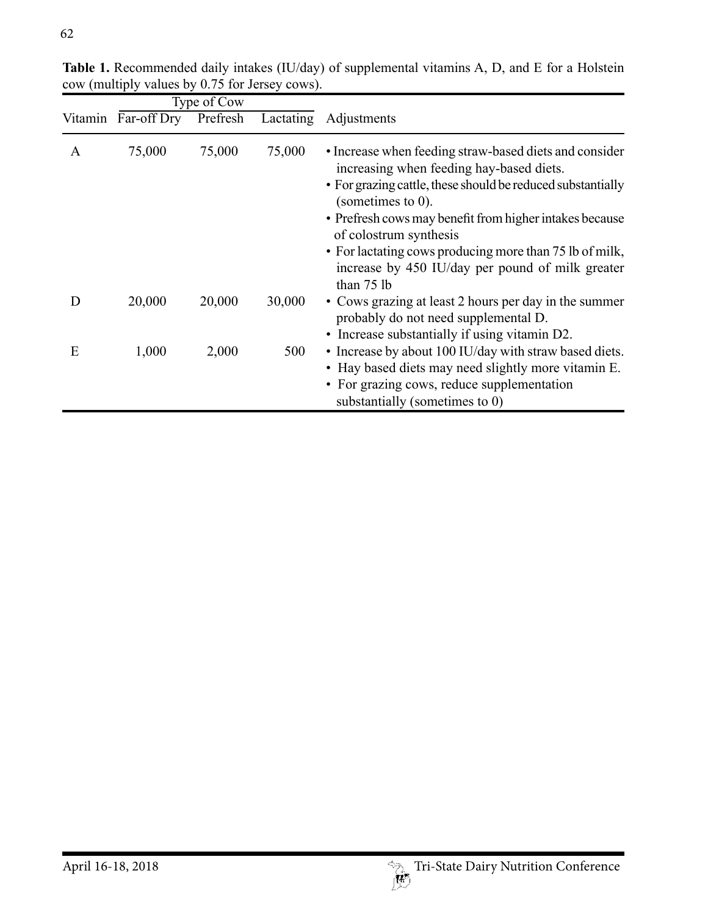|         | Type of Cow |          |        |                                                                                                                                                                                                                                                                                                                                                                                                               |
|---------|-------------|----------|--------|---------------------------------------------------------------------------------------------------------------------------------------------------------------------------------------------------------------------------------------------------------------------------------------------------------------------------------------------------------------------------------------------------------------|
| Vitamin | Far-off Dry | Prefresh |        | Lactating Adjustments                                                                                                                                                                                                                                                                                                                                                                                         |
| A       | 75,000      | 75,000   | 75,000 | • Increase when feeding straw-based diets and consider<br>increasing when feeding hay-based diets.<br>• For grazing cattle, these should be reduced substantially<br>(sometimes to $0$ ).<br>• Prefresh cows may benefit from higher intakes because<br>of colostrum synthesis<br>• For lactating cows producing more than 75 lb of milk,<br>increase by 450 IU/day per pound of milk greater<br>than $75$ lb |
| Ð       | 20,000      | 20,000   | 30,000 | • Cows grazing at least 2 hours per day in the summer<br>probably do not need supplemental D.<br>• Increase substantially if using vitamin D2.                                                                                                                                                                                                                                                                |
| E       | 1,000       | 2,000    | 500    | • Increase by about 100 IU/day with straw based diets.<br>• Hay based diets may need slightly more vitamin E.<br>• For grazing cows, reduce supplementation<br>substantially (sometimes to 0)                                                                                                                                                                                                                 |

**Table 1.** Recommended daily intakes (IU/day) of supplemental vitamins A, D, and E for a Holstein cow (multiply values by 0.75 for Jersey cows).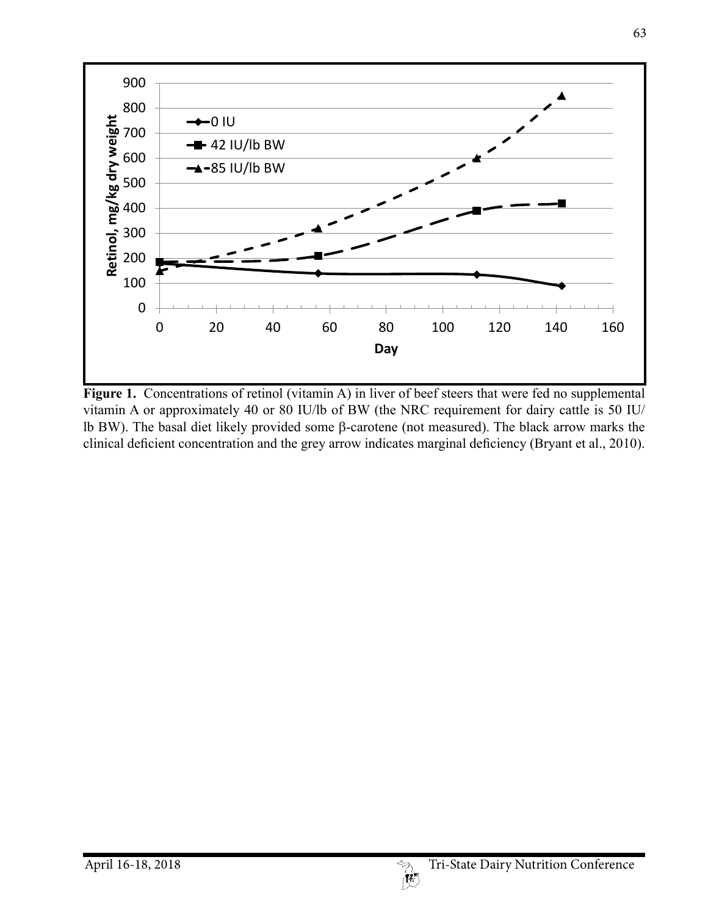

**Figure 1.** Concentrations of retinol (vitamin A) in liver of beef steers that were fed no supplemental vitamin A or approximately 40 or 80 IU/lb of BW (the NRC requirement for dairy cattle is 50 IU/ lb BW). The basal diet likely provided some  $\beta$ -carotene (not measured). The black arrow marks the clinical deficient concentration and the grey arrow indicates marginal deficiency (Bryant et al., 2010).